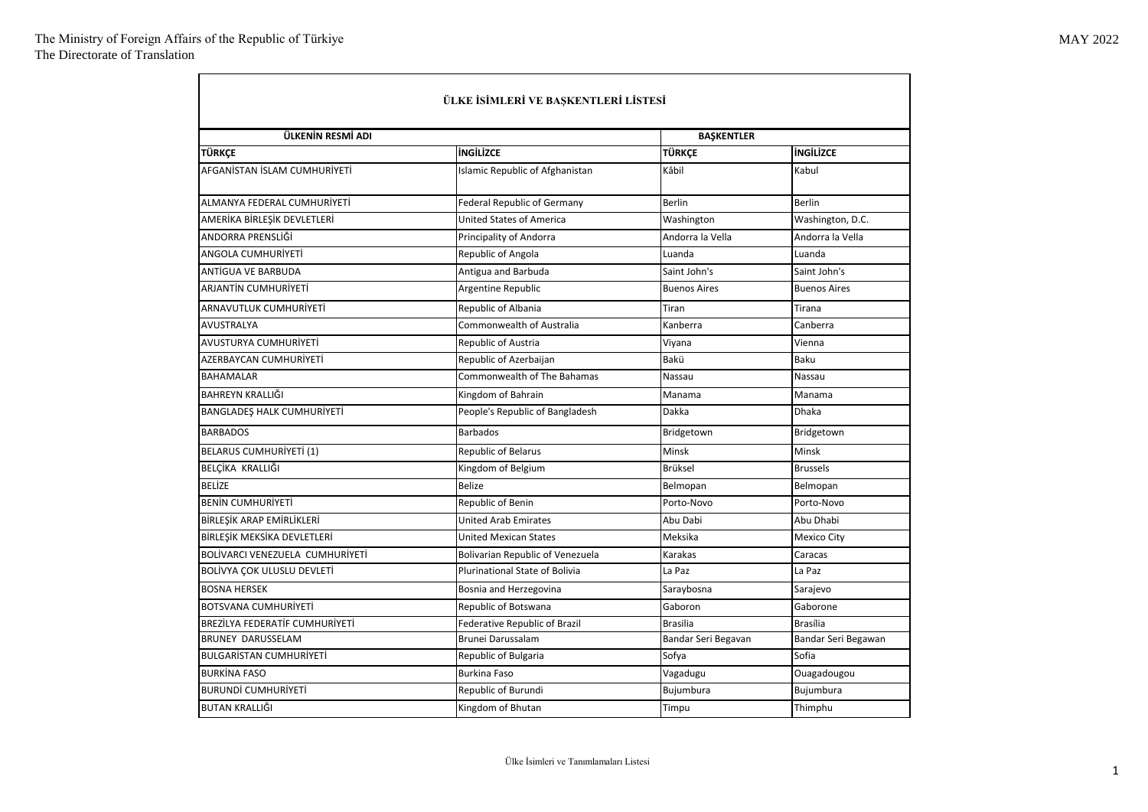÷

| ÜLKE İSİMLERİ VE BAŞKENTLERİ LİSTESİ |                                       |                     |                     |  |
|--------------------------------------|---------------------------------------|---------------------|---------------------|--|
| ÜLKENİN RESMİ ADI                    |                                       | <b>BAŞKENTLER</b>   |                     |  |
| <b>TÜRKCE</b>                        | <b>INGILIZCE</b>                      | TÜRKCE              | <b>INGILIZCE</b>    |  |
| AFGANISTAN ISLAM CUMHURIYETI         | Islamic Republic of Afghanistan       | Kâbil               | Kabul               |  |
| ALMANYA FEDERAL CUMHURİYETİ          | <b>Federal Republic of Germany</b>    | <b>Berlin</b>       | <b>Berlin</b>       |  |
| AMERİKA BİRLEŞİK DEVLETLERİ          | <b>United States of America</b>       | Washington          | Washington, D.C.    |  |
| ANDORRA PRENSLİĞİ                    | Principality of Andorra               | Andorra la Vella    | Andorra la Vella    |  |
| ANGOLA CUMHURİYETİ                   | Republic of Angola                    | Luanda              | Luanda              |  |
| <b>ANTÍGUA VE BARBUDA</b>            | Antigua and Barbuda                   | Saint John's        | Saint John's        |  |
| ARJANTİN CUMHURİYETİ                 | Argentine Republic                    | <b>Buenos Aires</b> | <b>Buenos Aires</b> |  |
| ARNAVUTLUK CUMHURİYETİ               | Republic of Albania                   | Tiran               | Tirana              |  |
| <b>AVUSTRALYA</b>                    | Commonwealth of Australia             | Kanberra            | Canberra            |  |
| AVUSTURYA CUMHURİYETİ                | Republic of Austria                   | Viyana              | Vienna              |  |
| AZERBAYCAN CUMHURİYETİ               | Republic of Azerbaijan                | Bakü                | Baku                |  |
| <b>BAHAMALAR</b>                     | <b>Commonwealth of The Bahamas</b>    | Nassau              | Nassau              |  |
| BAHREYN KRALLIĞI                     | Kingdom of Bahrain                    | Manama              | Manama              |  |
| <b>BANGLADES HALK CUMHURIYETI</b>    | People's Republic of Bangladesh       | Dakka               | <b>Dhaka</b>        |  |
| <b>BARBADOS</b>                      | <b>Barbados</b>                       | Bridgetown          | Bridgetown          |  |
| <b>BELARUS CUMHURİYETİ (1)</b>       | <b>Republic of Belarus</b>            | Minsk               | Minsk               |  |
| BELÇİKA KRALLIĞI                     | Kingdom of Belgium                    | <b>Brüksel</b>      | <b>Brussels</b>     |  |
| <b>BELİZE</b>                        | Belize                                | Belmopan            | Belmopan            |  |
| <b>BENIN CUMHURIYETI</b>             | Republic of Benin                     | Porto-Novo          | Porto-Novo          |  |
| BİRLEŞİK ARAP EMİRLİKLERİ            | <b>United Arab Emirates</b>           | Abu Dabi            | Abu Dhabi           |  |
| BİRLEŞİK MEKSİKA DEVLETLERİ          | <b>United Mexican States</b>          | Meksika             | <b>Mexico City</b>  |  |
| BOLİVARCI VENEZUELA CUMHURİYETİ      | Bolivarian Republic of Venezuela      | Karakas             | Caracas             |  |
| BOLİVYA ÇOK ULUSLU DEVLETİ           | <b>Plurinational State of Bolivia</b> | La Paz              | La Paz              |  |
| <b>BOSNA HERSEK</b>                  | Bosnia and Herzegovina                | Saraybosna          | Sarajevo            |  |
| <b>BOTSVANA CUMHURIYETI</b>          | Republic of Botswana                  | Gaboron             | Gaborone            |  |
| BREZİLYA FEDERATİF CUMHURİYETİ       | Federative Republic of Brazil         | <b>Brasilia</b>     | <b>Brasília</b>     |  |
| <b>BRUNEY DARUSSELAM</b>             | Brunei Darussalam                     | Bandar Seri Begavan | Bandar Seri Begawan |  |
| <b>BULGARISTAN CUMHURIYETI</b>       | Republic of Bulgaria                  | Sofya               | Sofia               |  |
| <b>BURKINA FASO</b>                  | <b>Burkina Faso</b>                   | Vagadugu            | Ouagadougou         |  |
| <b>BURUNDİ CUMHURİYETİ</b>           | Republic of Burundi                   | Bujumbura           | Bujumbura           |  |
| <b>BUTAN KRALLIĞI</b>                | Kingdom of Bhutan                     | Timpu               | Thimphu             |  |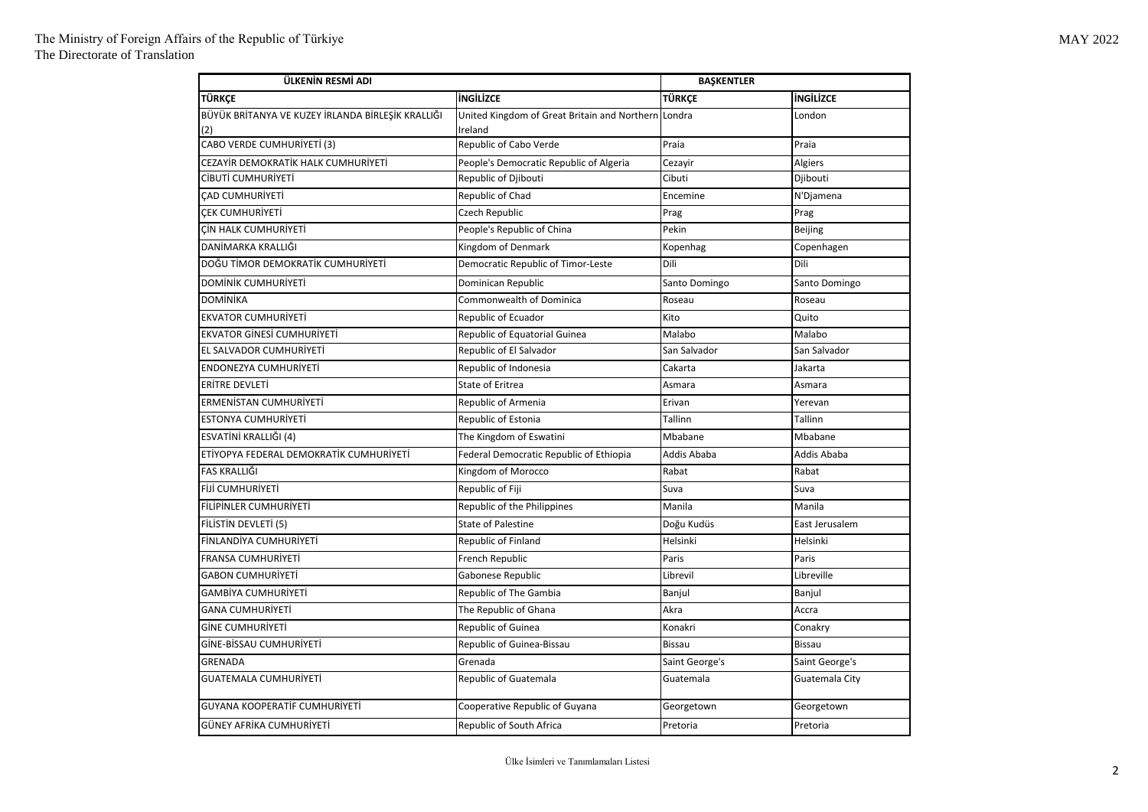| ÜLKENİN RESMİ ADI                                        |                                                                | <b>BAŞKENTLER</b> |                  |
|----------------------------------------------------------|----------------------------------------------------------------|-------------------|------------------|
| <b>TÜRKCE</b>                                            | <b>ingilizce</b>                                               | TÜRKCE            | <b>INGILIZCE</b> |
| BÜYÜK BRİTANYA VE KUZEY İRLANDA BİRLEŞİK KRALLIĞI<br>(2) | United Kingdom of Great Britain and Northern Londra<br>Ireland |                   | London           |
| CABO VERDE CUMHURİYETİ (3)                               | Republic of Cabo Verde                                         | Praia             | Praia            |
| CEZAYİR DEMOKRATİK HALK CUMHURİYETİ                      | People's Democratic Republic of Algeria                        | Cezayir           | Algiers          |
| CİBUTİ CUMHURİYETİ                                       | Republic of Djibouti                                           | Cibuti            | Djibouti         |
| CAD CUMHURİYETİ                                          | Republic of Chad                                               | Encemine          | N'Djamena        |
| CEK CUMHURİYETİ                                          | Czech Republic                                                 | Prag              | Prag             |
| CİN HALK CUMHURİYETİ                                     | People's Republic of China                                     | Pekin             | Beijing          |
| DANİMARKA KRALLIĞI                                       | Kingdom of Denmark                                             | Kopenhag          | Copenhagen       |
| DOĞU TİMOR DEMOKRATİK CUMHURİYETİ                        | Democratic Republic of Timor-Leste                             | Dili              | Dili             |
| DOMİNİK CUMHURİYETİ                                      | Dominican Republic                                             | Santo Domingo     | Santo Domingo    |
| <b>DOMİNİKA</b>                                          | Commonwealth of Dominica                                       | Roseau            | Roseau           |
| <b>EKVATOR CUMHURİYETİ</b>                               | Republic of Ecuador                                            | Kito              | Quito            |
| <b>EKVATOR GINESI CUMHURIYETI</b>                        | Republic of Equatorial Guinea                                  | Malabo            | Malabo           |
| EL SALVADOR CUMHURİYETİ                                  | Republic of El Salvador                                        | San Salvador      | San Salvador     |
| ENDONEZYA CUMHURİYETİ                                    | Republic of Indonesia                                          | Cakarta           | Jakarta          |
| ERİTRE DEVLETİ                                           | State of Eritrea                                               | Asmara            | Asmara           |
| ERMENİSTAN CUMHURİYETİ                                   | Republic of Armenia                                            | Erivan            | Yerevan          |
| <b>ESTONYA CUMHURİYETİ</b>                               | Republic of Estonia                                            | Tallinn           | Tallinn          |
| ESVATİNİ KRALLIĞI (4)                                    | The Kingdom of Eswatini                                        | Mbabane           | Mbabane          |
| ETİYOPYA FEDERAL DEMOKRATİK CUMHURİYETİ                  | Federal Democratic Republic of Ethiopia                        | Addis Ababa       | Addis Ababa      |
| FAS KRALLIĞI                                             | Kingdom of Morocco                                             | Rabat             | Rabat            |
| <b>FİJİ CUMHURİYETİ</b>                                  | Republic of Fiji                                               | Suva              | Suva             |
| FİLİPİNLER CUMHURİYETİ                                   | Republic of the Philippines                                    | Manila            | Manila           |
| FİLİSTİN DEVLETİ (5)                                     | <b>State of Palestine</b>                                      | Doğu Kudüs        | East Jerusalem   |
| FİNLANDİYA CUMHURİYETİ                                   | Republic of Finland                                            | Helsinki          | Helsinki         |
| FRANSA CUMHURİYETİ                                       | French Republic                                                | Paris             | Paris            |
| GABON CUMHURİYETİ                                        | Gabonese Republic                                              | Librevil          | Libreville       |
| GAMBİYA CUMHURİYETİ                                      | Republic of The Gambia                                         | Banjul            | Banjul           |
| GANA CUMHURİYETİ                                         | The Republic of Ghana                                          | Akra              | Accra            |
| <b>GINE CUMHURIYETI</b>                                  | Republic of Guinea                                             | Konakri           | Conakry          |
| GİNE-BİSSAU CUMHURİYETİ                                  | Republic of Guinea-Bissau                                      | <b>Bissau</b>     | <b>Bissau</b>    |
| GRENADA                                                  | Grenada                                                        | Saint George's    | Saint George's   |
| GUATEMALA CUMHURİYETİ                                    | Republic of Guatemala                                          | Guatemala         | Guatemala City   |
| GUYANA KOOPERATİF CUMHURİYETİ                            | Cooperative Republic of Guyana                                 | Georgetown        | Georgetown       |
| GÜNEY AFRİKA CUMHURİYETİ                                 | <b>Republic of South Africa</b>                                | Pretoria          | Pretoria         |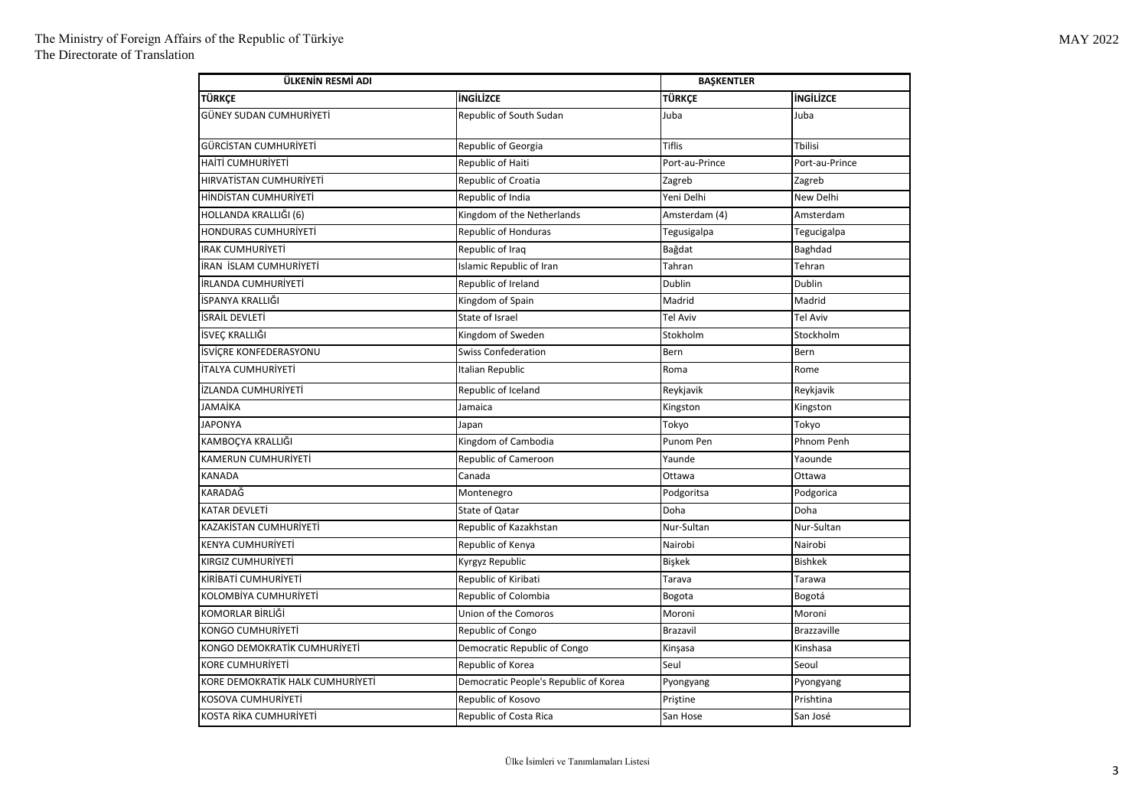| ÜLKENİN RESMİ ADI                |                                       | <b>BASKENTLER</b> |                    |
|----------------------------------|---------------------------------------|-------------------|--------------------|
| TÜRKÇE                           | <b>INGILIZCE</b>                      | <b>TÜRKÇE</b>     | <b>INGILIZCE</b>   |
| GÜNEY SUDAN CUMHURİYETİ          | Republic of South Sudan               | Juba              | Juba               |
| GÜRCİSTAN CUMHURİYETİ            | Republic of Georgia                   | <b>Tiflis</b>     | <b>Tbilisi</b>     |
| HAİTİ CUMHURİYETİ                | Republic of Haiti                     | Port-au-Prince    | Port-au-Prince     |
| HIRVATİSTAN CUMHURİYETİ          | Republic of Croatia                   | Zagreb            | Zagreb             |
| HİNDİSTAN CUMHURİYETİ            | Republic of India                     | Yeni Delhi        | New Delhi          |
| HOLLANDA KRALLIĞI (6)            | Kingdom of the Netherlands            | Amsterdam (4)     | Amsterdam          |
| HONDURAS CUMHURİYETİ             | <b>Republic of Honduras</b>           | Tegusigalpa       | Tegucigalpa        |
| <b>IRAK CUMHURİYETİ</b>          | Republic of Iraq                      | Bağdat            | Baghdad            |
| İRAN İSLAM CUMHURİYETİ           | Islamic Republic of Iran              | Tahran            | Tehran             |
| İRLANDA CUMHURİYETİ              | Republic of Ireland                   | Dublin            | Dublin             |
| İSPANYA KRALLIĞI                 | Kingdom of Spain                      | Madrid            | Madrid             |
| İSRAİL DEVLETİ                   | State of Israel                       | <b>Tel Aviv</b>   | <b>Tel Aviv</b>    |
| İSVEÇ KRALLIĞI                   | Kingdom of Sweden                     | Stokholm          | Stockholm          |
| İSVİÇRE KONFEDERASYONU           | Swiss Confederation                   | Bern              | Bern               |
| İTALYA CUMHURİYETİ               | Italian Republic                      | Roma              | Rome               |
| İZLANDA CUMHURİYETİ              | Republic of Iceland                   | Reykjavik         | Reykjavik          |
| JAMAİKA                          | Jamaica                               | Kingston          | Kingston           |
| <b>JAPONYA</b>                   | Japan                                 | Tokyo             | Tokyo              |
| KAMBOÇYA KRALLIĞI                | Kingdom of Cambodia                   | Punom Pen         | <b>Phnom Penh</b>  |
| KAMERUN CUMHURİYETİ              | Republic of Cameroon                  | Yaunde            | Yaounde            |
| KANADA                           | Canada                                | Ottawa            | Ottawa             |
| KARADAĞ                          | Montenegro                            | Podgoritsa        | Podgorica          |
| KATAR DEVLETİ                    | State of Qatar                        | Doha              | Doha               |
| KAZAKİSTAN CUMHURİYETİ           | Republic of Kazakhstan                | Nur-Sultan        | Nur-Sultan         |
| KENYA CUMHURİYETİ                | Republic of Kenya                     | Nairobi           | Nairobi            |
| KIRGIZ CUMHURİYETİ               | Kyrgyz Republic                       | Bişkek            | <b>Bishkek</b>     |
| KİRİBATİ CUMHURİYETİ             | Republic of Kiribati                  | Tarava            | Tarawa             |
| KOLOMBİYA CUMHURİYETİ            | Republic of Colombia                  | Bogota            | Bogotá             |
| KOMORLAR BİRLİĞİ                 | Union of the Comoros                  | Moroni            | Moroni             |
| KONGO CUMHURİYETİ                | Republic of Congo                     | Brazavil          | <b>Brazzaville</b> |
| KONGO DEMOKRATİK CUMHURİYETİ     | Democratic Republic of Congo          | Kinşasa           | Kinshasa           |
| <b>KORE CUMHURİYETİ</b>          | Republic of Korea                     | Seul              | Seoul              |
| KORE DEMOKRATİK HALK CUMHURİYETİ | Democratic People's Republic of Korea | Pyongyang         | Pyongyang          |
| KOSOVA CUMHURİYETİ               | Republic of Kosovo                    | Pristine          | Prishtina          |
| KOSTA RİKA CUMHURİYETİ           | Republic of Costa Rica                | San Hose          | San José           |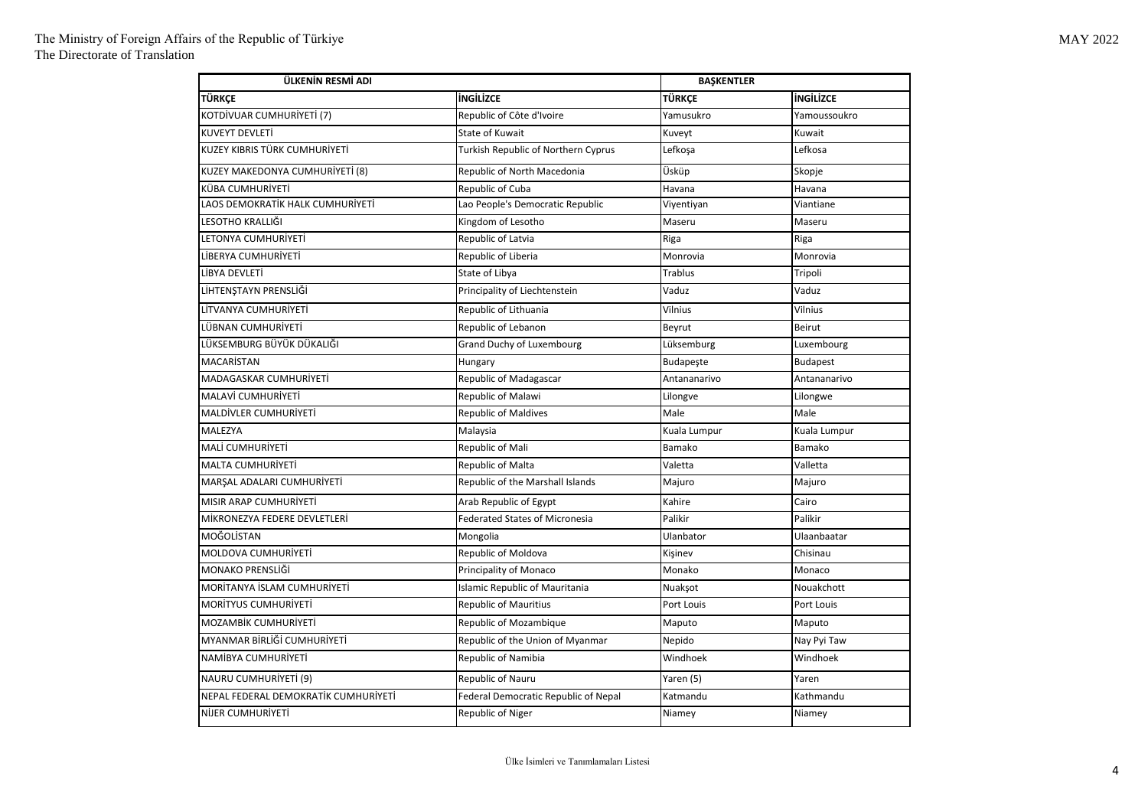| ÜLKENİN RESMİ ADI                    |                                       | <b>BAŞKENTLER</b> |                  |
|--------------------------------------|---------------------------------------|-------------------|------------------|
| TÜRKÇE                               | <b>INGILIZCE</b>                      | TÜRKÇE            | <b>INGILIZCE</b> |
| KOTDİVUAR CUMHURİYETİ (7)            | Republic of Côte d'Ivoire             | Yamusukro         | Yamoussoukro     |
| KUVEYT DEVLETİ                       | <b>State of Kuwait</b>                | Kuveyt            | Kuwait           |
| KUZEY KIBRIS TÜRK CUMHURİYETİ        | Turkish Republic of Northern Cyprus   | Lefkoşa           | Lefkosa          |
| KUZEY MAKEDONYA CUMHURİYETİ (8)      | Republic of North Macedonia           | Üsküp             | Skopje           |
| KÜBA CUMHURİYETİ                     | Republic of Cuba                      | Havana            | Havana           |
| LAOS DEMOKRATİK HALK CUMHURİYETİ     | Lao People's Democratic Republic      | Viyentiyan        | Viantiane        |
| LESOTHO KRALLIĞI                     | Kingdom of Lesotho                    | Maseru            | Maseru           |
| LETONYA CUMHURİYETİ                  | Republic of Latvia                    | Riga              | Riga             |
| LİBERYA CUMHURİYETİ                  | Republic of Liberia                   | Monrovia          | Monrovia         |
| LİBYA DEVLETİ                        | State of Libya                        | <b>Trablus</b>    | Tripoli          |
| LİHTENŞTAYN PRENSLİĞİ                | Principality of Liechtenstein         | Vaduz             | Vaduz            |
| LİTVANYA CUMHURİYETİ                 | Republic of Lithuania                 | Vilnius           | Vilnius          |
| LÜBNAN CUMHURİYETİ                   | Republic of Lebanon                   | Beyrut            | Beirut           |
| LÜKSEMBURG BÜYÜK DÜKALIĞI            | Grand Duchy of Luxembourg             | Lüksemburg        | Luxembourg       |
| MACARISTAN                           | Hungary                               | Budapeşte         | <b>Budapest</b>  |
| MADAGASKAR CUMHURİYETİ               | Republic of Madagascar                | Antananarivo      | Antananarivo     |
| MALAVİ CUMHURİYETİ                   | Republic of Malawi                    | Lilongve          | Lilongwe         |
| MALDİVLER CUMHURİYETİ                | Republic of Maldives                  | Male              | Male             |
| MALEZYA                              | Malaysia                              | Kuala Lumpur      | Kuala Lumpur     |
| MALİ CUMHURİYETİ                     | Republic of Mali                      | Bamako            | Bamako           |
| <b>MALTA CUMHURİYETİ</b>             | Republic of Malta                     | Valetta           | Valletta         |
| MARŞAL ADALARI CUMHURİYETİ           | Republic of the Marshall Islands      | Majuro            | Majuro           |
| MISIR ARAP CUMHURİYETİ               | Arab Republic of Egypt                | Kahire            | Cairo            |
| MİKRONEZYA FEDERE DEVLETLERİ         | <b>Federated States of Micronesia</b> | Palikir           | Palikir          |
| MOĞOLİSTAN                           | Mongolia                              | Ulanbator         | Ulaanbaatar      |
| MOLDOVA CUMHURİYETİ                  | Republic of Moldova                   | Kişinev           | Chisinau         |
| <b>MONAKO PRENSLİĞİ</b>              | Principality of Monaco                | Monako            | Monaco           |
| MORITANYA İSLAM CUMHURİYETİ          | <b>Islamic Republic of Mauritania</b> | Nuakşot           | Nouakchott       |
| MORITYUS CUMHURIYETI                 | <b>Republic of Mauritius</b>          | Port Louis        | Port Louis       |
| MOZAMBİK CUMHURİYETİ                 | Republic of Mozambique                | Maputo            | Maputo           |
| MYANMAR BİRLİĞİ CUMHURİYETİ          | Republic of the Union of Myanmar      | Nepido            | Nay Pyi Taw      |
| NAMİBYA CUMHURİYETİ                  | Republic of Namibia                   | Windhoek          | Windhoek         |
| NAURU CUMHURİYETİ (9)                | Republic of Nauru                     | Yaren (5)         | Yaren            |
| NEPAL FEDERAL DEMOKRATİK CUMHURİYETİ | Federal Democratic Republic of Nepal  | Katmandu          | Kathmandu        |
| NIJER CUMHURIYETI                    | Republic of Niger                     | Niamey            | Niamey           |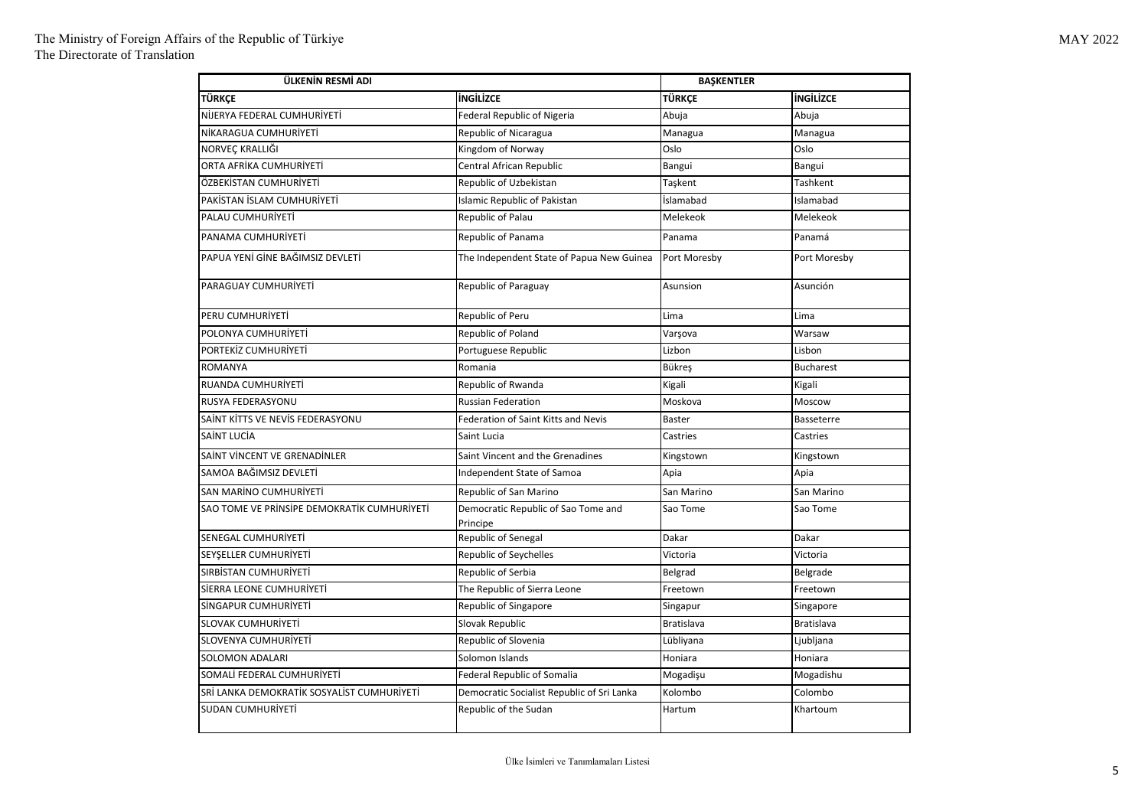| ÜLKENİN RESMİ ADI                           |                                                 | <b>BAŞKENTLER</b> |                  |
|---------------------------------------------|-------------------------------------------------|-------------------|------------------|
| <b>TÜRKCE</b>                               | <b>ingilizce</b>                                | TÜRKCE            | <b>INGILIZCE</b> |
| NİJERYA FEDERAL CUMHURİYETİ                 | <b>Federal Republic of Nigeria</b>              | Abuja             | Abuja            |
| NİKARAGUA CUMHURİYETİ                       | Republic of Nicaragua                           | Managua           | Managua          |
| NORVEÇ KRALLIĞI                             | Kingdom of Norway                               | Oslo              | Oslo             |
| ORTA AFRİKA CUMHURİYETİ                     | Central African Republic                        | Bangui            | Bangui           |
| ÖZBEKİSTAN CUMHURİYETİ                      | Republic of Uzbekistan                          | Taşkent           | Tashkent         |
| PAKİSTAN İSLAM CUMHURİYETİ                  | <b>Islamic Republic of Pakistan</b>             | İslamabad         | Islamabad        |
| PALAU CUMHURİYETİ                           | Republic of Palau                               | Melekeok          | Melekeok         |
| PANAMA CUMHURİYETİ                          | Republic of Panama                              | Panama            | Panamá           |
| PAPUA YENİ GİNE BAĞIMSIZ DEVLETİ            | The Independent State of Papua New Guinea       | Port Moresby      | Port Moresby     |
| PARAGUAY CUMHURIYETI                        | Republic of Paraguay                            | Asunsion          | Asunción         |
| PERU CUMHURİYETİ                            | Republic of Peru                                | Lima              | Lima             |
| POLONYA CUMHURİYETİ                         | Republic of Poland                              | Varşova           | Warsaw           |
| PORTEKİZ CUMHURİYETİ                        | Portuguese Republic                             | Lizbon            | Lisbon           |
| <b>ROMANYA</b>                              | Romania                                         | Bükreş            | <b>Bucharest</b> |
| RUANDA CUMHURİYETİ                          | Republic of Rwanda                              | Kigali            | Kigali           |
| RUSYA FEDERASYONU                           | <b>Russian Federation</b>                       | Moskova           | Moscow           |
| SAİNT KİTTS VE NEVİS FEDERASYONU            | Federation of Saint Kitts and Nevis             | <b>Baster</b>     | Basseterre       |
| SAİNT LUCİA                                 | Saint Lucia                                     | Castries          | Castries         |
| SAİNT VİNCENT VE GRENADİNLER                | Saint Vincent and the Grenadines                | Kingstown         | Kingstown        |
| SAMOA BAĞIMSIZ DEVLETİ                      | Independent State of Samoa                      | Apia              | Apia             |
| SAN MARİNO CUMHURİYETİ                      | Republic of San Marino                          | San Marino        | San Marino       |
| SAO TOME VE PRINSIPE DEMOKRATIK CUMHURIYETI | Democratic Republic of Sao Tome and<br>Principe | Sao Tome          | Sao Tome         |
| SENEGAL CUMHURİYETİ                         | Republic of Senegal                             | Dakar             | Dakar            |
| SEYSELLER CUMHURIYETİ                       | <b>Republic of Seychelles</b>                   | Victoria          | Victoria         |
| SIRBİSTAN CUMHURİYETİ                       | Republic of Serbia                              | Belgrad           | Belgrade         |
| SIERRA LEONE CUMHURIYETI                    | The Republic of Sierra Leone                    | Freetown          | Freetown         |
| SİNGAPUR CUMHURİYETİ                        | Republic of Singapore                           | Singapur          | Singapore        |
| <b>SLOVAK CUMHURİYETİ</b>                   | Slovak Republic                                 | <b>Bratislava</b> | Bratislava       |
| SLOVENYA CUMHURİYETİ                        | Republic of Slovenia                            | Lübliyana         | Ljubljana        |
| SOLOMON ADALARI                             | Solomon Islands                                 | Honiara           | Honiara          |
| SOMALİ FEDERAL CUMHURİYETİ                  | <b>Federal Republic of Somalia</b>              | Mogadişu          | Mogadishu        |
| SRİ LANKA DEMOKRATİK SOSYALİST CUMHURİYETİ  | Democratic Socialist Republic of Sri Lanka      | Kolombo           | Colombo          |
| SUDAN CUMHURİYETİ                           | Republic of the Sudan                           | Hartum            | Khartoum         |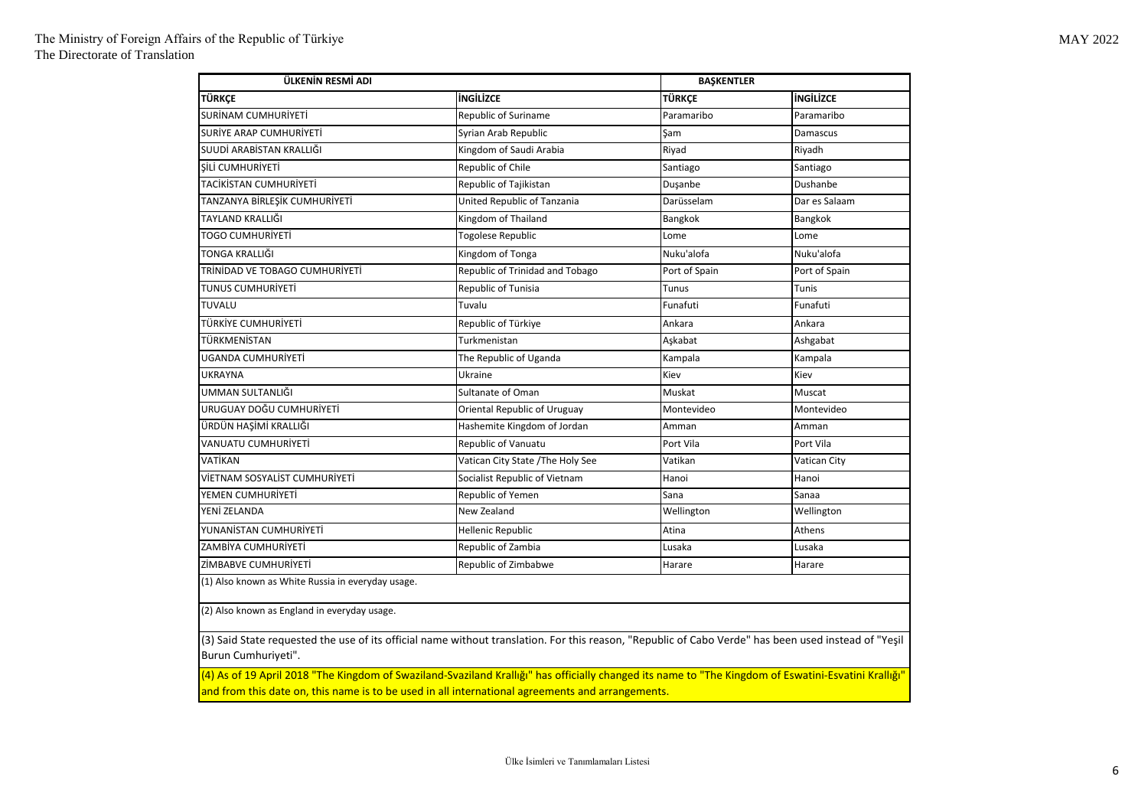| ÜLKENİN RESMİ ADI                                                                                                                                                           |                                   | <b>BAŞKENTLER</b> |                  |  |
|-----------------------------------------------------------------------------------------------------------------------------------------------------------------------------|-----------------------------------|-------------------|------------------|--|
| <b>TÜRKCE</b>                                                                                                                                                               | <b>INGILIZCE</b>                  | <b>TÜRKCE</b>     | <b>INGILIZCE</b> |  |
| SURİNAM CUMHURİYETİ                                                                                                                                                         | Republic of Suriname              | Paramaribo        | Paramaribo       |  |
| SURİYE ARAP CUMHURİYETİ                                                                                                                                                     | Syrian Arab Republic              | Şam               | Damascus         |  |
| SUUDİ ARABİSTAN KRALLIĞI                                                                                                                                                    | Kingdom of Saudi Arabia           | Riyad             | Riyadh           |  |
| SİLİ CUMHURİYETİ                                                                                                                                                            | Republic of Chile                 | Santiago          | Santiago         |  |
| TACİKİSTAN CUMHURİYETİ                                                                                                                                                      | Republic of Tajikistan            | Duşanbe           | Dushanbe         |  |
| TANZANYA BİRLEŞİK CUMHURİYETİ                                                                                                                                               | United Republic of Tanzania       | Darüsselam        | Dar es Salaam    |  |
| TAYLAND KRALLIĞI                                                                                                                                                            | Kingdom of Thailand               | Bangkok           | Bangkok          |  |
| <b>TOGO CUMHURIYETI</b>                                                                                                                                                     | <b>Togolese Republic</b>          | Lome              | Lome             |  |
| TONGA KRALLIĞI                                                                                                                                                              | Kingdom of Tonga                  | Nuku'alofa        | Nuku'alofa       |  |
| TRÍNÍDAD VE TOBAGO CUMHURÍYETÍ                                                                                                                                              | Republic of Trinidad and Tobago   | Port of Spain     | Port of Spain    |  |
| TUNUS CUMHURİYETİ                                                                                                                                                           | Republic of Tunisia               | Tunus             | Tunis            |  |
| <b>TUVALU</b>                                                                                                                                                               | Tuvalu                            | Funafuti          | Funafuti         |  |
| TÜRKİYE CUMHURİYETİ                                                                                                                                                         | Republic of Türkiye               | Ankara            | Ankara           |  |
| TÜRKMENİSTAN                                                                                                                                                                | Turkmenistan                      | Aşkabat           | Ashgabat         |  |
| UGANDA CUMHURİYETİ                                                                                                                                                          | The Republic of Uganda            | Kampala           | Kampala          |  |
| <b>UKRAYNA</b>                                                                                                                                                              | Ukraine                           | Kiev              | Kiev             |  |
| UMMAN SULTANLIĞI                                                                                                                                                            | Sultanate of Oman                 | Muskat            | Muscat           |  |
| URUGUAY DOĞU CUMHURİYETİ                                                                                                                                                    | Oriental Republic of Uruguay      | Montevideo        | Montevideo       |  |
| ÜRDÜN HAŞİMİ KRALLIĞI                                                                                                                                                       | Hashemite Kingdom of Jordan       | Amman             | Amman            |  |
| <b>VANUATU CUMHURİYETİ</b>                                                                                                                                                  | Republic of Vanuatu               | Port Vila         | Port Vila        |  |
| VATİKAN                                                                                                                                                                     | Vatican City State / The Holy See | Vatikan           | Vatican City     |  |
| VİETNAM SOSYALİST CUMHURİYETİ                                                                                                                                               | Socialist Republic of Vietnam     | Hanoi             | Hanoi            |  |
| YEMEN CUMHURİYETİ                                                                                                                                                           | Republic of Yemen                 | Sana              | Sanaa            |  |
| YENİ ZELANDA                                                                                                                                                                | New Zealand                       | Wellington        | Wellington       |  |
| YUNANİSTAN CUMHURİYETİ                                                                                                                                                      | Hellenic Republic                 | Atina             | Athens           |  |
| ZAMBİYA CUMHURİYETİ                                                                                                                                                         | Republic of Zambia                | Lusaka            | Lusaka           |  |
| ZİMBABVE CUMHURİYETİ                                                                                                                                                        | Republic of Zimbabwe              | Harare            | Harare           |  |
| (1) Also known as White Russia in everyday usage.                                                                                                                           |                                   |                   |                  |  |
| (2) Also known as England in everyday usage.                                                                                                                                |                                   |                   |                  |  |
| (3) Said State requested the use of its official name without translation. For this reason, "Republic of Cabo Verde" has been used instead of "Yeşil<br>Burun Cumhuriyeti". |                                   |                   |                  |  |

(4) As of 19 April 2018 "The Kingdom of Swaziland-Svaziland Krallığı" has officially changed its name to "The Kingdom of Eswatini-Esvatini Krallığı" and from this date on, this name is to be used in all international agreements and arrangements.